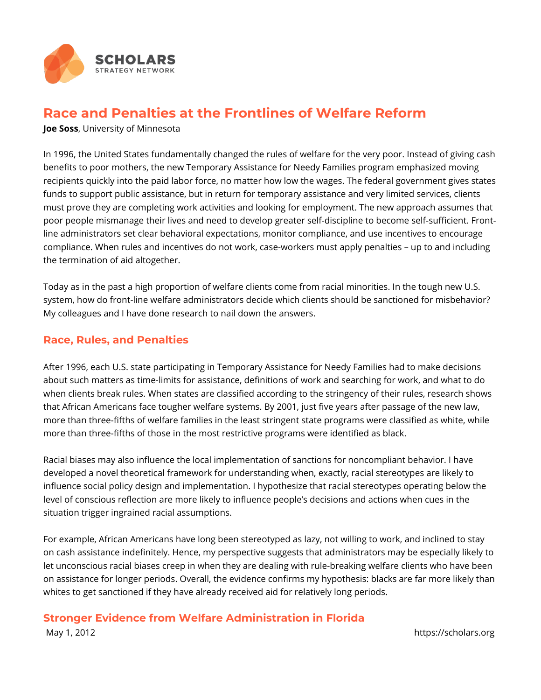

## **Race and Penalties at the Frontlines of Welfare Reform**

**Joe Soss**, University of Minnesota

In 1996, the United States fundamentally changed the rules of welfare for the very poor. Instead of giving cash benefits to poor mothers, the new Temporary Assistance for Needy Families program emphasized moving recipients quickly into the paid labor force, no matter how low the wages. The federal government gives states funds to support public assistance, but in return for temporary assistance and very limited services, clients must prove they are completing work activities and looking for employment. The new approach assumes that poor people mismanage their lives and need to develop greater self-discipline to become self-sufficient. Frontline administrators set clear behavioral expectations, monitor compliance, and use incentives to encourage compliance. When rules and incentives do not work, case-workers must apply penalties – up to and including the termination of aid altogether.

Today as in the past a high proportion of welfare clients come from racial minorities. In the tough new U.S. system, how do front-line welfare administrators decide which clients should be sanctioned for misbehavior? My colleagues and I have done research to nail down the answers.

## **Race, Rules, and Penalties**

After 1996, each U.S. state participating in Temporary Assistance for Needy Families had to make decisions about such matters as time-limits for assistance, definitions of work and searching for work, and what to do when clients break rules. When states are classified according to the stringency of their rules, research shows that African Americans face tougher welfare systems. By 2001, just five years after passage of the new law, more than three-fifths of welfare families in the least stringent state programs were classified as white, while more than three-fifths of those in the most restrictive programs were identified as black.

Racial biases may also influence the local implementation of sanctions for noncompliant behavior. I have developed a novel theoretical framework for understanding when, exactly, racial stereotypes are likely to influence social policy design and implementation. I hypothesize that racial stereotypes operating below the level of conscious reflection are more likely to influence people's decisions and actions when cues in the situation trigger ingrained racial assumptions.

For example, African Americans have long been stereotyped as lazy, not willing to work, and inclined to stay on cash assistance indefinitely. Hence, my perspective suggests that administrators may be especially likely to let unconscious racial biases creep in when they are dealing with rule-breaking welfare clients who have been on assistance for longer periods. Overall, the evidence confirms my hypothesis: blacks are far more likely than whites to get sanctioned if they have already received aid for relatively long periods.

## **Stronger Evidence from Welfare Administration in Florida**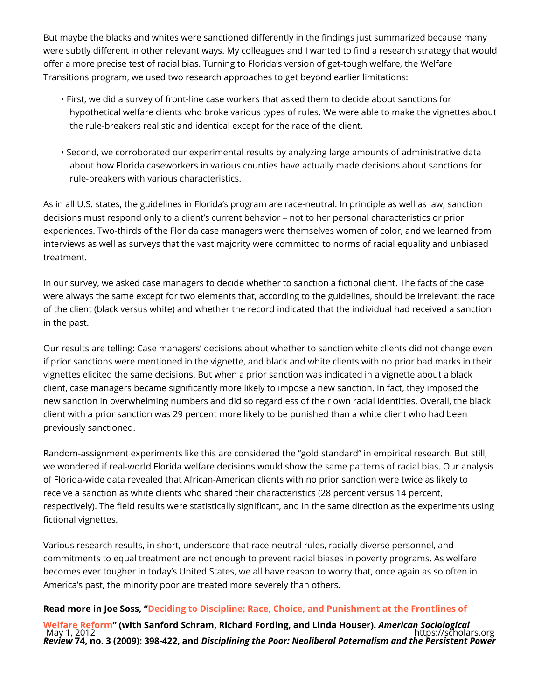But maybe the blacks and whites were sanctioned differently in the findings ju were subtly different in other relevant ways. My colleagues and I wanted to fin offer a more precise test of racial bias. Turning to Florida s version of get-tou Transitions program, we used two research approaches to get beyond earlier li

- "First, we did a survey of front-line case workers that asked them to decide hypothetical welfare clients who broke various types of rules. We were abl the rule-breakers realistic and identical except for the race of the client.
- " Second, we corroborated our experimental results by analyzing large amou about how Florida caseworkers in various counties have actually made dec rule-breakers with various characteristics.

As in all U.S. states, the guidelines in Florida s program are race-neutral. In p decisions must respond only to a client s current behavior not to her persona experiences. Two-thirds of the Florida case managers were themselves women interviews as well as surveys that the vast majority were committed to norms o treatment.

In our survey, we asked case managers to decide whether to sanction a fiction were always the same except for two elements that, according to the guideline of the client (black versus white) and whether the record indicated that the ind in the past.

Our results are telling: Case managers decisions about whether to sanction w if prior sanctions were mentioned in the vignette, and black and white clients vignettes elicited the same decisions. But when a prior sanction was indicated client, case managers became significantly more likely to impose a new sanction. new sanction in overwhelming numbers and did so regardless of their own racial client with a prior sanction was 29 percent more likely to be punished than a w previously sanctioned.

Random-assignment experiments like this are considered the gold standard in we wondered if real-world Florida welfare decisions would show the same patte of Florida-wide data revealed that African-American clients with no prior sanct receive a sanction as white clients who shared their characteristics (28 percer respectively). The field results were statistically significant, and in the same fictional vignettes.

Various research results, in short, underscore that race-neutral rules, racially commitments to equal treatment are not enough to prevent racial biases in pov becomes ever tougher in today s United States, we all have reason to worry th America s past, the minority poor are treated more severely than others.

Read more in Joe Soissing to Discipline: Race, Choice, and Punishment at the F [Welfare Re](http://www.citizing.org/data/projects/povertyst/Deciding to Discipline, CitiZing.pdf)fo(rwnithSanford Schram, Richard Fording, aAmodel Lina da SHoo cuisoelo) gical Review4, no. 3 (2009): 39DBis422iplianndg the Poor: Neoliberal Paternalism and the May 1, 2012 https://scholars.org https://scholars.org https://scholars.org